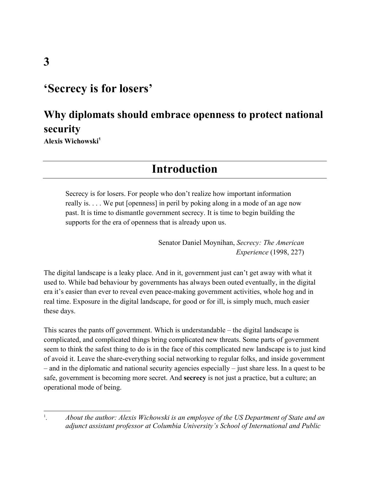### **'Secrecy is for losers'**

## **Why diplomats should embrace openness to protect national security**

**Alexis Wichowski<sup>1</sup>**

### **Introduction**

Secrecy is for losers. For people who don't realize how important information really is. . . . We put [openness] in peril by poking along in a mode of an age now past. It is time to dismantle government secrecy. It is time to begin building the supports for the era of openness that is already upon us.

> Senator Daniel Moynihan, *Secrecy: The American Experience* (1998, 227)

The digital landscape is a leaky place. And in it, government just can't get away with what it used to. While bad behaviour by governments has always been outed eventually, in the digital era it's easier than ever to reveal even peace-making government activities, whole hog and in real time. Exposure in the digital landscape, for good or for ill, is simply much, much easier these days.

This scares the pants off government. Which is understandable – the digital landscape is complicated, and complicated things bring complicated new threats. Some parts of government seem to think the safest thing to do is in the face of this complicated new landscape is to just kind of avoid it. Leave the share-everything social networking to regular folks, and inside government – and in the diplomatic and national security agencies especially – just share less. In a quest to be safe, government is becoming more secret. And **secrecy** is not just a practice, but a culture; an operational mode of being.

**3**

<sup>1</sup> *. About the author: Alexis Wichowski is an employee of the US Department of State and an adjunct assistant professor at Columbia University's School of International and Public*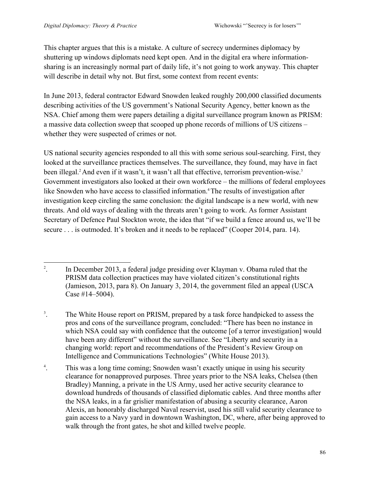This chapter argues that this is a mistake. A culture of secrecy undermines diplomacy by shuttering up windows diplomats need kept open. And in the digital era where informationsharing is an increasingly normal part of daily life, it's not going to work anyway. This chapter will describe in detail why not. But first, some context from recent events:

In June 2013, federal contractor Edward Snowden leaked roughly 200,000 classified documents describing activities of the US government's National Security Agency, better known as the NSA. Chief among them were papers detailing a digital surveillance program known as PRISM: a massive data collection sweep that scooped up phone records of millions of US citizens – whether they were suspected of crimes or not.

US national security agencies responded to all this with some serious soul-searching. First, they looked at the surveillance practices themselves. The surveillance, they found, may have in fact been illegal.<sup>2</sup> And even if it wasn't, it wasn't all that effective, terrorism prevention-wise.<sup>3</sup> Government investigators also looked at their own workforce – the millions of federal employees like Snowden who have access to classified information.<sup>4</sup> The results of investigation after investigation keep circling the same conclusion: the digital landscape is a new world, with new threats. And old ways of dealing with the threats aren't going to work. As former Assistant Secretary of Defence Paul Stockton wrote, the idea that "if we build a fence around us, we'll be secure . . . is outmoded. It's broken and it needs to be replaced" (Cooper 2014, para. 14).

<sup>2</sup> . In December 2013, a federal judge presiding over Klayman v. Obama ruled that the PRISM data collection practices may have violated citizen's constitutional rights (Jamieson, 2013, para 8). On January 3, 2014, the government filed an appeal (USCA Case #14–5004).

<sup>3</sup> . The White House report on PRISM, prepared by a task force handpicked to assess the pros and cons of the surveillance program, concluded: "There has been no instance in which NSA could say with confidence that the outcome [of a terror investigation] would have been any different" without the surveillance. See "Liberty and security in a changing world: report and recommendations of the President's Review Group on Intelligence and Communications Technologies" (White House 2013).

<sup>4</sup> . This was a long time coming; Snowden wasn't exactly unique in using his security clearance for nonapproved purposes. Three years prior to the NSA leaks, Chelsea (then Bradley) Manning, a private in the US Army, used her active security clearance to download hundreds of thousands of classified diplomatic cables. And three months after the NSA leaks, in a far grislier manifestation of abusing a security clearance, Aaron Alexis, an honorably discharged Naval reservist, used his still valid security clearance to gain access to a Navy yard in downtown Washington, DC, where, after being approved to walk through the front gates, he shot and killed twelve people.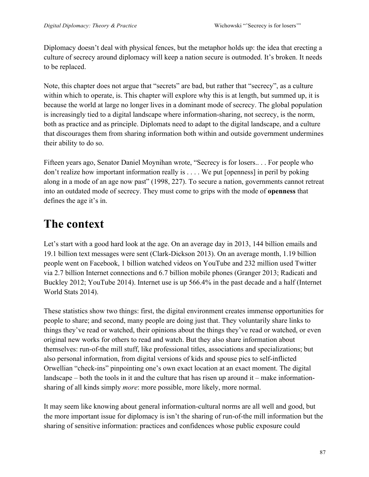Diplomacy doesn't deal with physical fences, but the metaphor holds up: the idea that erecting a culture of secrecy around diplomacy will keep a nation secure is outmoded. It's broken. It needs to be replaced.

Note, this chapter does not argue that "secrets" are bad, but rather that "secrecy", as a culture within which to operate, is. This chapter will explore why this is at length, but summed up, it is because the world at large no longer lives in a dominant mode of secrecy. The global population is increasingly tied to a digital landscape where information-sharing, not secrecy, is the norm, both as practice and as principle. Diplomats need to adapt to the digital landscape, and a culture that discourages them from sharing information both within and outside government undermines their ability to do so.

Fifteen years ago, Senator Daniel Moynihan wrote, "Secrecy is for losers.. . . For people who don't realize how important information really is . . . . We put [openness] in peril by poking along in a mode of an age now past" (1998, 227). To secure a nation, governments cannot retreat into an outdated mode of secrecy. They must come to grips with the mode of **openness** that defines the age it's in.

## **The context**

Let's start with a good hard look at the age. On an average day in 2013, 144 billion emails and 19.1 billion text messages were sent (Clark-Dickson 2013). On an average month, 1.19 billion people went on Facebook, 1 billion watched videos on YouTube and 232 million used Twitter via 2.7 billion Internet connections and 6.7 billion mobile phones (Granger 2013; Radicati and Buckley 2012; YouTube 2014). Internet use is up 566.4% in the past decade and a half (Internet World Stats 2014).

These statistics show two things: first, the digital environment creates immense opportunities for people to share; and second, many people are doing just that. They voluntarily share links to things they've read or watched, their opinions about the things they've read or watched, or even original new works for others to read and watch. But they also share information about themselves: run-of-the mill stuff, like professional titles, associations and specializations; but also personal information, from digital versions of kids and spouse pics to self-inflicted Orwellian "check-ins" pinpointing one's own exact location at an exact moment. The digital landscape – both the tools in it and the culture that has risen up around it – make informationsharing of all kinds simply *more*: more possible, more likely, more normal.

It may seem like knowing about general information-cultural norms are all well and good, but the more important issue for diplomacy is isn't the sharing of run-of-the mill information but the sharing of sensitive information: practices and confidences whose public exposure could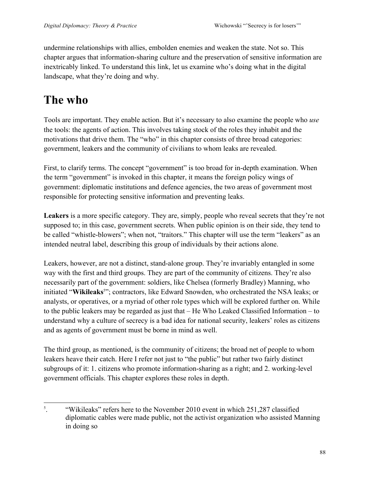undermine relationships with allies, embolden enemies and weaken the state. Not so. This chapter argues that information-sharing culture and the preservation of sensitive information are inextricably linked. To understand this link, let us examine who's doing what in the digital landscape, what they're doing and why.

# **The who**

Tools are important. They enable action. But it's necessary to also examine the people who *use*  the tools: the agents of action. This involves taking stock of the roles they inhabit and the motivations that drive them. The "who" in this chapter consists of three broad categories: government, leakers and the community of civilians to whom leaks are revealed.

First, to clarify terms. The concept "government" is too broad for in-depth examination. When the term "government" is invoked in this chapter, it means the foreign policy wings of government: diplomatic institutions and defence agencies, the two areas of government most responsible for protecting sensitive information and preventing leaks.

**Leakers** is a more specific category. They are, simply, people who reveal secrets that they're not supposed to; in this case, government secrets. When public opinion is on their side, they tend to be called "whistle-blowers"; when not, "traitors." This chapter will use the term "leakers" as an intended neutral label, describing this group of individuals by their actions alone.

Leakers, however, are not a distinct, stand-alone group. They're invariably entangled in some way with the first and third groups. They are part of the community of citizens. They're also necessarily part of the government: soldiers, like Chelsea (formerly Bradley) Manning, who initiated "**Wikileaks**<sup>5</sup> "; contractors, like Edward Snowden, who orchestrated the NSA leaks; or analysts, or operatives, or a myriad of other role types which will be explored further on. While to the public leakers may be regarded as just that – He Who Leaked Classified Information – to understand why a culture of secrecy is a bad idea for national security, leakers' roles as citizens and as agents of government must be borne in mind as well.

The third group, as mentioned, is the community of citizens; the broad net of people to whom leakers heave their catch. Here I refer not just to "the public" but rather two fairly distinct subgroups of it: 1. citizens who promote information-sharing as a right; and 2. working-level government officials. This chapter explores these roles in depth.

<sup>5</sup> . "Wikileaks" refers here to the November 2010 event in which 251,287 classified diplomatic cables were made public, not the activist organization who assisted Manning in doing so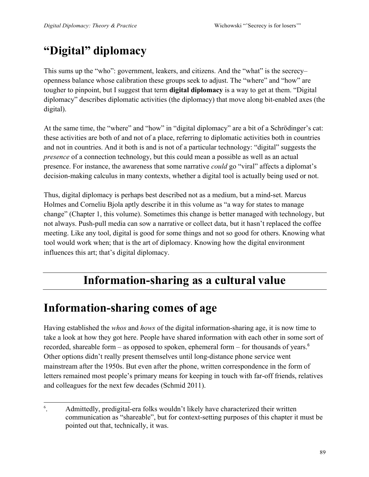# **"Digital" diplomacy**

This sums up the "who": government, leakers, and citizens. And the "what" is the secrecy– openness balance whose calibration these groups seek to adjust. The "where" and "how" are tougher to pinpoint, but I suggest that term **digital diplomacy** is a way to get at them. "Digital diplomacy" describes diplomatic activities (the diplomacy) that move along bit-enabled axes (the digital).

At the same time, the "where" and "how" in "digital diplomacy" are a bit of a Schrödinger's cat: these activities are both of and not of a place, referring to diplomatic activities both in countries and not in countries. And it both is and is not of a particular technology: "digital" suggests the *presence* of a connection technology, but this could mean a possible as well as an actual presence. For instance, the awareness that some narrative *could* go "viral" affects a diplomat's decision-making calculus in many contexts, whether a digital tool is actually being used or not.

Thus, digital diplomacy is perhaps best described not as a medium, but a mind-set. Marcus Holmes and Corneliu Bjola aptly describe it in this volume as "a way for states to manage change" (Chapter 1, this volume). Sometimes this change is better managed with technology, but not always. Push-pull media can sow a narrative or collect data, but it hasn't replaced the coffee meeting. Like any tool, digital is good for some things and not so good for others. Knowing what tool would work when; that is the art of diplomacy. Knowing how the digital environment influences this art; that's digital diplomacy.

# **Information-sharing as a cultural value**

## **Information-sharing comes of age**

Having established the *whos* and *hows* of the digital information-sharing age, it is now time to take a look at how they got here. People have shared information with each other in some sort of recorded, shareable form – as opposed to spoken, ephemeral form – for thousands of years.<sup>6</sup> Other options didn't really present themselves until long-distance phone service went mainstream after the 1950s. But even after the phone, written correspondence in the form of letters remained most people's primary means for keeping in touch with far-off friends, relatives and colleagues for the next few decades (Schmid 2011).

<sup>6</sup> . Admittedly, predigital-era folks wouldn't likely have characterized their written communication as "shareable", but for context-setting purposes of this chapter it must be pointed out that, technically, it was.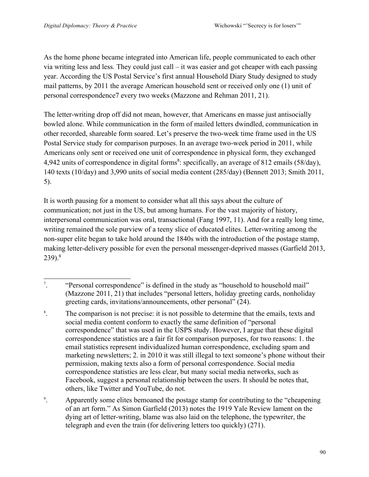As the home phone became integrated into American life, people communicated to each other via writing less and less. They could just call – it was easier and got cheaper with each passing year. According the US Postal Service's first annual Household Diary Study designed to study mail patterns, by 2011 the average American household sent or received only one (1) unit of personal correspondence7 every two weeks (Mazzone and Rehman 2011, 21).

The letter-writing drop off did not mean, however, that Americans en masse just antisocially bowled alone. While communication in the form of mailed letters dwindled, communication in other recorded, shareable form soared. Let's preserve the two-week time frame used in the US Postal Service study for comparison purposes. In an average two-week period in 2011, while Americans only sent or received one unit of correspondence in physical form, they exchanged 4,942 units of correspondence in digital forms<sup>8</sup>: specifically, an average of 812 emails (58/day), 140 texts (10/day) and 3,990 units of social media content (285/day) (Bennett 2013; Smith 2011, 5).

It is worth pausing for a moment to consider what all this says about the culture of communication; not just in the US, but among humans. For the vast majority of history, interpersonal communication was oral, transactional (Fang 1997, 11). And for a really long time, writing remained the sole purview of a teeny slice of educated elites. Letter-writing among the non-super elite began to take hold around the 1840s with the introduction of the postage stamp, making letter-delivery possible for even the personal messenger-deprived masses (Garfield 2013,  $239$ ).<sup>9</sup>

<sup>7</sup> . "Personal correspondence" is defined in the study as "household to household mail" (Mazzone 2011, 21) that includes "personal letters, holiday greeting cards, nonholiday greeting cards, invitations/announcements, other personal" (24).

<sup>8</sup> . The comparison is not precise: it is not possible to determine that the emails, texts and social media content conform to exactly the same definition of "personal correspondence" that was used in the USPS study. However, I argue that these digital correspondence statistics are a fair fit for comparison purposes, for two reasons: 1. the email statistics represent individualized human correspondence, excluding spam and marketing newsletters; 2. in 2010 it was still illegal to text someone's phone without their permission, making texts also a form of personal correspondence. Social media correspondence statistics are less clear, but many social media networks, such as Facebook, suggest a personal relationship between the users. It should be notes that, others, like Twitter and YouTube, do not.

<sup>9</sup> . Apparently some elites bemoaned the postage stamp for contributing to the "cheapening of an art form." As Simon Garfield (2013) notes the 1919 Yale Review lament on the dying art of letter-writing, blame was also laid on the telephone, the typewriter, the telegraph and even the train (for delivering letters too quickly) (271).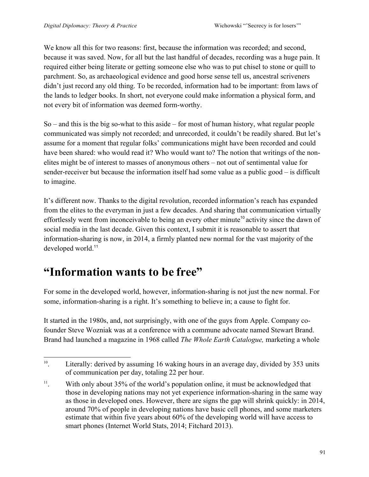We know all this for two reasons: first, because the information was recorded; and second, because it was saved. Now, for all but the last handful of decades, recording was a huge pain. It required either being literate or getting someone else who was to put chisel to stone or quill to parchment. So, as archaeological evidence and good horse sense tell us, ancestral scriveners didn't just record any old thing. To be recorded, information had to be important: from laws of the lands to ledger books. In short, not everyone could make information a physical form, and not every bit of information was deemed form-worthy.

 $So$  – and this is the big so-what to this aside – for most of human history, what regular people communicated was simply not recorded; and unrecorded, it couldn't be readily shared. But let's assume for a moment that regular folks' communications might have been recorded and could have been shared: who would read it? Who would want to? The notion that writings of the nonelites might be of interest to masses of anonymous others – not out of sentimental value for sender-receiver but because the information itself had some value as a public good – is difficult to imagine.

It's different now. Thanks to the digital revolution, recorded information's reach has expanded from the elites to the everyman in just a few decades. And sharing that communication virtually effortlessly went from inconceivable to being an every other minute<sup>10</sup> activity since the dawn of social media in the last decade. Given this context, I submit it is reasonable to assert that information-sharing is now, in 2014, a firmly planted new normal for the vast majority of the developed world.<sup>11</sup>

# **"Information wants to be free"**

For some in the developed world, however, information-sharing is not just the new normal. For some, information-sharing is a right. It's something to believe in; a cause to fight for.

It started in the 1980s, and, not surprisingly, with one of the guys from Apple. Company cofounder Steve Wozniak was at a conference with a commune advocate named Stewart Brand. Brand had launched a magazine in 1968 called *The Whole Earth Catalogue,* marketing a whole

<sup>&</sup>lt;sup>10</sup>. Literally: derived by assuming 16 waking hours in an average day, divided by 353 units of communication per day, totaling 22 per hour.

 $11.$  With only about 35% of the world's population online, it must be acknowledged that those in developing nations may not yet experience information-sharing in the same way as those in developed ones. However, there are signs the gap will shrink quickly: in 2014, around 70% of people in developing nations have basic cell phones, and some marketers estimate that within five years about 60% of the developing world will have access to smart phones (Internet World Stats, 2014; Fitchard 2013).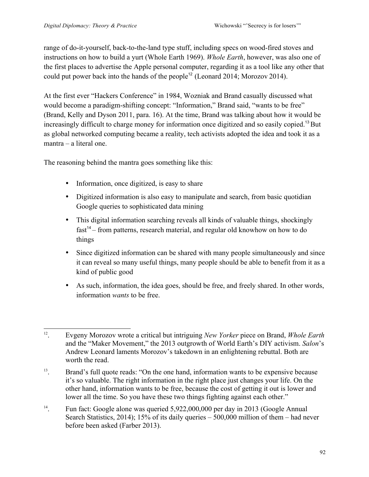range of do-it-yourself, back-to-the-land type stuff, including specs on wood-fired stoves and instructions on how to build a yurt (Whole Earth 1969). *Whole Earth*, however, was also one of the first places to advertise the Apple personal computer, regarding it as a tool like any other that could put power back into the hands of the people<sup>12</sup> (Leonard 2014; Morozov 2014).

At the first ever "Hackers Conference" in 1984, Wozniak and Brand casually discussed what would become a paradigm-shifting concept: "Information," Brand said, "wants to be free" (Brand, Kelly and Dyson 2011, para. 16). At the time, Brand was talking about how it would be increasingly difficult to charge money for information once digitized and so easily copied.<sup>13</sup> But as global networked computing became a reality, tech activists adopted the idea and took it as a mantra – a literal one.

The reasoning behind the mantra goes something like this:

- Information, once digitized, is easy to share
- Digitized information is also easy to manipulate and search, from basic quotidian Google queries to sophisticated data mining
- This digital information searching reveals all kinds of valuable things, shockingly  $fast<sup>14</sup>$  – from patterns, research material, and regular old knowhow on how to do things
- Since digitized information can be shared with many people simultaneously and since it can reveal so many useful things, many people should be able to benefit from it as a kind of public good
- As such, information, the idea goes, should be free, and freely shared. In other words, information *wants* to be free.

- <sup>13</sup>. Brand's full quote reads: "On the one hand, information wants to be expensive because it's so valuable. The right information in the right place just changes your life. On the other hand, information wants to be free, because the cost of getting it out is lower and lower all the time. So you have these two things fighting against each other."
- <sup>14</sup>. Fun fact: Google alone was queried 5,922,000,000 per day in 2013 (Google Annual Search Statistics, 2014); 15% of its daily queries – 500,000 million of them – had never before been asked (Farber 2013).

<sup>12.</sup> Evgeny Morozov wrote a critical but intriguing *New Yorker* piece on Brand, *Whole Earth*  and the "Maker Movement," the 2013 outgrowth of World Earth's DIY activism. *Salon*'s Andrew Leonard laments Morozov's takedown in an enlightening rebuttal. Both are worth the read.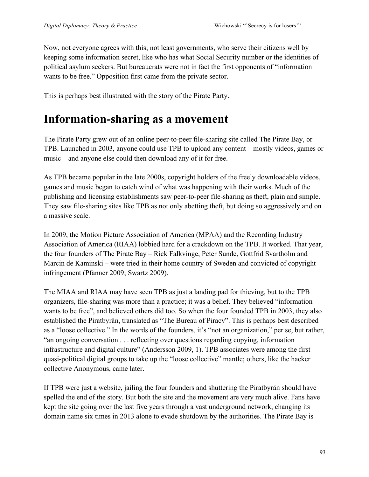Now, not everyone agrees with this; not least governments, who serve their citizens well by keeping some information secret, like who has what Social Security number or the identities of political asylum seekers. But bureaucrats were not in fact the first opponents of "information wants to be free." Opposition first came from the private sector.

This is perhaps best illustrated with the story of the Pirate Party.

### **Information-sharing as a movement**

The Pirate Party grew out of an online peer-to-peer file-sharing site called The Pirate Bay, or TPB. Launched in 2003, anyone could use TPB to upload any content – mostly videos, games or music – and anyone else could then download any of it for free.

As TPB became popular in the late 2000s, copyright holders of the freely downloadable videos, games and music began to catch wind of what was happening with their works. Much of the publishing and licensing establishments saw peer-to-peer file-sharing as theft, plain and simple. They saw file-sharing sites like TPB as not only abetting theft, but doing so aggressively and on a massive scale.

In 2009, the Motion Picture Association of America (MPAA) and the Recording Industry Association of America (RIAA) lobbied hard for a crackdown on the TPB. It worked. That year, the four founders of The Pirate Bay – Rick Falkvinge, Peter Sunde, Gottfrid Svartholm and Marcin de Kaminski – were tried in their home country of Sweden and convicted of copyright infringement (Pfanner 2009; Swartz 2009).

The MIAA and RIAA may have seen TPB as just a landing pad for thieving, but to the TPB organizers, file-sharing was more than a practice; it was a belief. They believed "information wants to be free", and believed others did too. So when the four founded TPB in 2003, they also established the Piratbyrån, translated as "The Bureau of Piracy". This is perhaps best described as a "loose collective." In the words of the founders, it's "not an organization," per se, but rather, "an ongoing conversation . . . reflecting over questions regarding copying, information infrastructure and digital culture" (Andersson 2009, 1). TPB associates were among the first quasi-political digital groups to take up the "loose collective" mantle; others, like the hacker collective Anonymous, came later.

If TPB were just a website, jailing the four founders and shuttering the Piratbyrån should have spelled the end of the story. But both the site and the movement are very much alive. Fans have kept the site going over the last five years through a vast underground network, changing its domain name six times in 2013 alone to evade shutdown by the authorities. The Pirate Bay is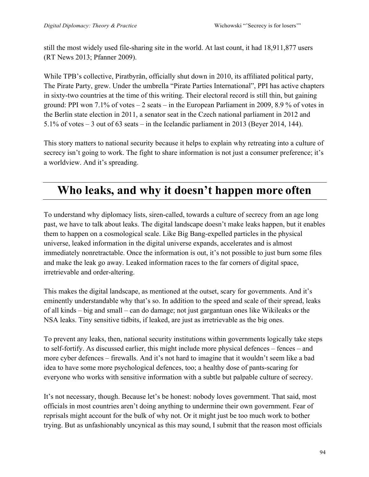still the most widely used file-sharing site in the world. At last count, it had 18,911,877 users (RT News 2013; Pfanner 2009).

While TPB's collective, Piratbyrån, officially shut down in 2010, its affiliated political party, The Pirate Party, grew. Under the umbrella "Pirate Parties International", PPI has active chapters in sixty-two countries at the time of this writing. Their electoral record is still thin, but gaining ground: PPI won 7.1% of votes – 2 seats – in the European Parliament in 2009, 8.9 % of votes in the Berlin state election in 2011, a senator seat in the Czech national parliament in 2012 and 5.1% of votes – 3 out of 63 seats – in the Icelandic parliament in 2013 (Beyer 2014, 144).

This story matters to national security because it helps to explain why retreating into a culture of secrecy isn't going to work. The fight to share information is not just a consumer preference; it's a worldview. And it's spreading.

## **Who leaks, and why it doesn't happen more often**

To understand why diplomacy lists, siren-called, towards a culture of secrecy from an age long past, we have to talk about leaks. The digital landscape doesn't make leaks happen, but it enables them to happen on a cosmological scale. Like Big Bang-expelled particles in the physical universe, leaked information in the digital universe expands, accelerates and is almost immediately nonretractable. Once the information is out, it's not possible to just burn some files and make the leak go away. Leaked information races to the far corners of digital space, irretrievable and order-altering.

This makes the digital landscape, as mentioned at the outset, scary for governments. And it's eminently understandable why that's so. In addition to the speed and scale of their spread, leaks of all kinds – big and small – can do damage; not just gargantuan ones like Wikileaks or the NSA leaks. Tiny sensitive tidbits, if leaked, are just as irretrievable as the big ones.

To prevent any leaks, then, national security institutions within governments logically take steps to self-fortify. As discussed earlier, this might include more physical defences – fences – and more cyber defences – firewalls. And it's not hard to imagine that it wouldn't seem like a bad idea to have some more psychological defences, too; a healthy dose of pants-scaring for everyone who works with sensitive information with a subtle but palpable culture of secrecy.

It's not necessary, though. Because let's be honest: nobody loves government. That said, most officials in most countries aren't doing anything to undermine their own government. Fear of reprisals might account for the bulk of why not. Or it might just be too much work to bother trying. But as unfashionably uncynical as this may sound, I submit that the reason most officials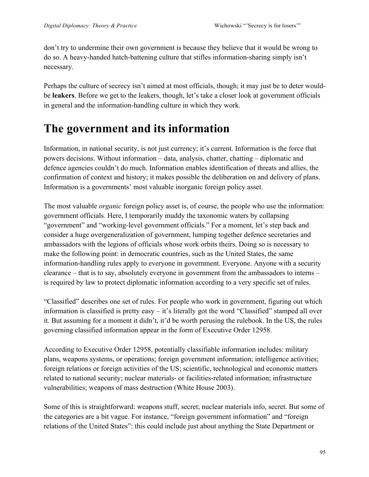don't try to undermine their own government is because they believe that it would be wrong to do so. A heavy-handed hatch-battening culture that stifles information-sharing simply isn't necessary.

Perhaps the culture of secrecy isn't aimed at most officials, though; it may just be to deter wouldbe **leakers**. Before we get to the leakers, though, let's take a closer look at government officials in general and the information-handling culture in which they work.

### **The government and its information**

Information, in national security, is not just currency; it's current. Information is the force that powers decisions. Without information – data, analysis, chatter, chatting – diplomatic and defence agencies couldn't do much. Information enables identification of threats and allies, the confirmation of context and history; it makes possible the deliberation on and delivery of plans. Information is a governments' most valuable inorganic foreign policy asset.

The most valuable *organic* foreign policy asset is, of course, the people who use the information: government officials. Here, I temporarily muddy the taxonomic waters by collapsing "government" and "working-level government officials." For a moment, let's step back and consider a huge overgeneralization of government, lumping together defence secretaries and ambassadors with the legions of officials whose work orbits theirs. Doing so is necessary to make the following point: in democratic countries, such as the United States, the same information-handling rules apply to everyone in government. Everyone. Anyone with a security clearance – that is to say, absolutely everyone in government from the ambassadors to interns – is required by law to protect diplomatic information according to a very specific set of rules.

"Classified" describes one set of rules. For people who work in government, figuring out which information is classified is pretty easy – it's literally got the word "Classified" stamped all over it. But assuming for a moment it didn't, it'd be worth perusing the rulebook. In the US, the rules governing classified information appear in the form of Executive Order 12958.

According to Executive Order 12958, potentially classifiable information includes: military plans, weapons systems, or operations; foreign government information; intelligence activities; foreign relations or foreign activities of the US; scientific, technological and economic matters related to national security; nuclear materials- or facilities-related information; infrastructure vulnerabilities; weapons of mass destruction (White House 2003).

Some of this is straightforward: weapons stuff, secret; nuclear materials info, secret. But some of the categories are a bit vague. For instance, "foreign government information" and "foreign relations of the United States": this could include just about anything the State Department or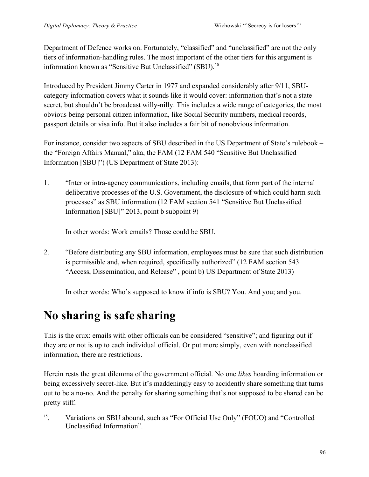Department of Defence works on. Fortunately, "classified" and "unclassified" are not the only tiers of information-handling rules. The most important of the other tiers for this argument is information known as "Sensitive But Unclassified" (SBU).<sup>15</sup>

Introduced by President Jimmy Carter in 1977 and expanded considerably after 9/11, SBUcategory information covers what it sounds like it would cover: information that's not a state secret, but shouldn't be broadcast willy-nilly. This includes a wide range of categories, the most obvious being personal citizen information, like Social Security numbers, medical records, passport details or visa info. But it also includes a fair bit of nonobvious information.

For instance, consider two aspects of SBU described in the US Department of State's rulebook – the "Foreign Affairs Manual," aka, the FAM (12 FAM 540 "Sensitive But Unclassified Information [SBU]") (US Department of State 2013):

1. "Inter or intra-agency communications, including emails, that form part of the internal deliberative processes of the U.S. Government, the disclosure of which could harm such processes" as SBU information (12 FAM section 541 "Sensitive But Unclassified Information [SBU]" 2013, point b subpoint 9)

In other words: Work emails? Those could be SBU.

2. "Before distributing any SBU information, employees must be sure that such distribution is permissible and, when required, specifically authorized" (12 FAM section 543 "Access, Dissemination, and Release" , point b) US Department of State 2013)

In other words: Who's supposed to know if info is SBU? You. And you; and you.

# **No sharing is safe sharing**

This is the crux: emails with other officials can be considered "sensitive"; and figuring out if they are or not is up to each individual official. Or put more simply, even with nonclassified information, there are restrictions.

Herein rests the great dilemma of the government official. No one *likes* hoarding information or being excessively secret-like. But it's maddeningly easy to accidently share something that turns out to be a no-no. And the penalty for sharing something that's not supposed to be shared can be pretty stiff.

<sup>&</sup>lt;sup>15</sup>. Variations on SBU abound, such as "For Official Use Only" (FOUO) and "Controlled Unclassified Information".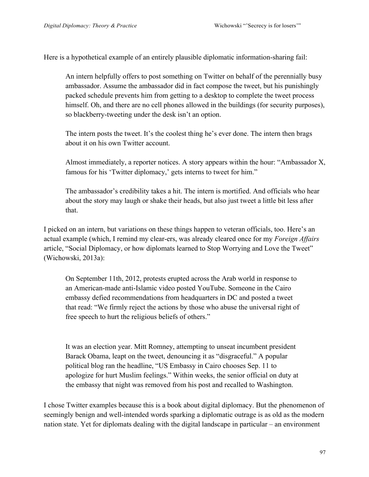Here is a hypothetical example of an entirely plausible diplomatic information-sharing fail:

An intern helpfully offers to post something on Twitter on behalf of the perennially busy ambassador. Assume the ambassador did in fact compose the tweet, but his punishingly packed schedule prevents him from getting to a desktop to complete the tweet process himself. Oh, and there are no cell phones allowed in the buildings (for security purposes), so blackberry-tweeting under the desk isn't an option.

The intern posts the tweet. It's the coolest thing he's ever done. The intern then brags about it on his own Twitter account.

Almost immediately, a reporter notices. A story appears within the hour: "Ambassador X, famous for his 'Twitter diplomacy,' gets interns to tweet for him."

The ambassador's credibility takes a hit. The intern is mortified. And officials who hear about the story may laugh or shake their heads, but also just tweet a little bit less after that.

I picked on an intern, but variations on these things happen to veteran officials, too. Here's an actual example (which, I remind my clear-ers, was already cleared once for my *Foreign Affairs*  article, "Social Diplomacy, or how diplomats learned to Stop Worrying and Love the Tweet" (Wichowski, 2013a):

On September 11th, 2012, protests erupted across the Arab world in response to an American-made anti-Islamic video posted YouTube. Someone in the Cairo embassy defied recommendations from headquarters in DC and posted a tweet that read: "We firmly reject the actions by those who abuse the universal right of free speech to hurt the religious beliefs of others."

It was an election year. Mitt Romney, attempting to unseat incumbent president Barack Obama, leapt on the tweet, denouncing it as "disgraceful." A popular political blog ran the headline, "US Embassy in Cairo chooses Sep. 11 to apologize for hurt Muslim feelings." Within weeks, the senior official on duty at the embassy that night was removed from his post and recalled to Washington.

I chose Twitter examples because this is a book about digital diplomacy. But the phenomenon of seemingly benign and well-intended words sparking a diplomatic outrage is as old as the modern nation state. Yet for diplomats dealing with the digital landscape in particular – an environment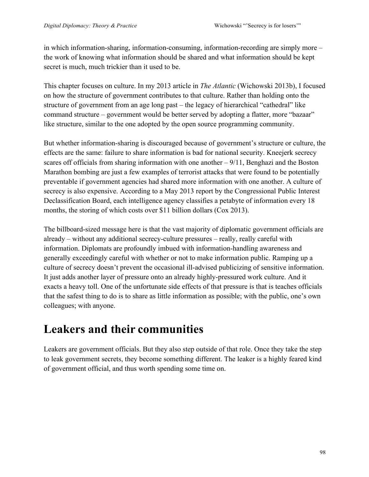in which information-sharing, information-consuming, information-recording are simply more – the work of knowing what information should be shared and what information should be kept secret is much, much trickier than it used to be.

This chapter focuses on culture. In my 2013 article in *The Atlantic* (Wichowski 2013b), I focused on how the structure of government contributes to that culture. Rather than holding onto the structure of government from an age long past – the legacy of hierarchical "cathedral" like command structure – government would be better served by adopting a flatter, more "bazaar" like structure, similar to the one adopted by the open source programming community.

But whether information-sharing is discouraged because of government's structure or culture, the effects are the same: failure to share information is bad for national security. Kneejerk secrecy scares off officials from sharing information with one another  $-9/11$ , Benghazi and the Boston Marathon bombing are just a few examples of terrorist attacks that were found to be potentially preventable if government agencies had shared more information with one another. A culture of secrecy is also expensive. According to a May 2013 report by the Congressional Public Interest Declassification Board, each intelligence agency classifies a petabyte of information every 18 months, the storing of which costs over \$11 billion dollars (Cox 2013).

The billboard-sized message here is that the vast majority of diplomatic government officials are already – without any additional secrecy-culture pressures – really, really careful with information. Diplomats are profoundly imbued with information-handling awareness and generally exceedingly careful with whether or not to make information public. Ramping up a culture of secrecy doesn't prevent the occasional ill-advised publicizing of sensitive information. It just adds another layer of pressure onto an already highly-pressured work culture. And it exacts a heavy toll. One of the unfortunate side effects of that pressure is that is teaches officials that the safest thing to do is to share as little information as possible; with the public, one's own colleagues; with anyone.

### **Leakers and their communities**

Leakers are government officials. But they also step outside of that role. Once they take the step to leak government secrets, they become something different. The leaker is a highly feared kind of government official, and thus worth spending some time on.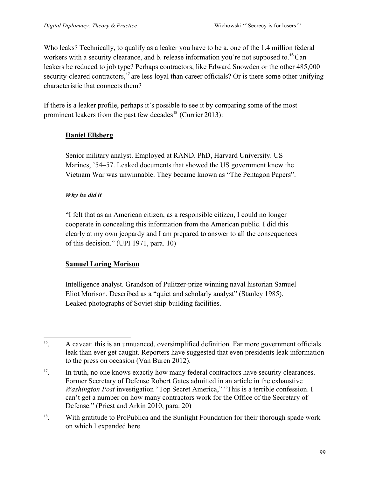Who leaks? Technically, to qualify as a leaker you have to be a. one of the 1.4 million federal workers with a security clearance, and b. release information you're not supposed to.<sup>16</sup>Can leakers be reduced to job type? Perhaps contractors, like Edward Snowden or the other 485,000 security-cleared contractors,<sup>17</sup> are less loyal than career officials? Or is there some other unifying characteristic that connects them?

If there is a leaker profile, perhaps it's possible to see it by comparing some of the most prominent leakers from the past few decades<sup>18</sup> (Currier 2013):

### **Daniel Ellsberg**

Senior military analyst. Employed at RAND. PhD, Harvard University. US Marines, '54–57. Leaked documents that showed the US government knew the Vietnam War was unwinnable. They became known as "The Pentagon Papers".

### *Why he did it*

"I felt that as an American citizen, as a responsible citizen, I could no longer cooperate in concealing this information from the American public. I did this clearly at my own jeopardy and I am prepared to answer to all the consequences of this decision." (UPI 1971, para. 10)

### **Samuel Loring Morison**

Intelligence analyst. Grandson of Pulitzer-prize winning naval historian Samuel Eliot Morison. Described as a "quiet and scholarly analyst" (Stanley 1985). Leaked photographs of Soviet ship-building facilities.

<sup>&</sup>lt;sup>16</sup>. A caveat: this is an unnuanced, oversimplified definition. Far more government officials leak than ever get caught. Reporters have suggested that even presidents leak information to the press on occasion (Van Buren 2012).

<sup>&</sup>lt;sup>17</sup>. In truth, no one knows exactly how many federal contractors have security clearances. Former Secretary of Defense Robert Gates admitted in an article in the exhaustive *Washington Post* investigation "Top Secret America," "This is a terrible confession. I can't get a number on how many contractors work for the Office of the Secretary of Defense." (Priest and Arkin 2010, para. 20)

<sup>&</sup>lt;sup>18</sup>. With gratitude to ProPublica and the Sunlight Foundation for their thorough spade work on which I expanded here.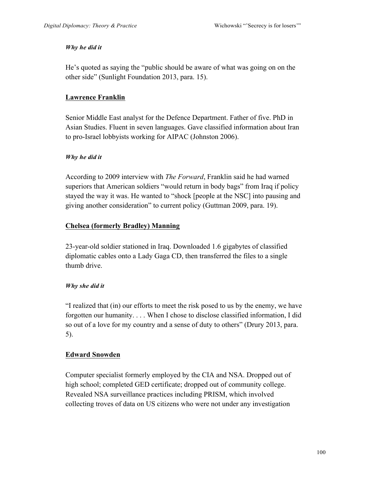#### *Why he did it*

He's quoted as saying the "public should be aware of what was going on on the other side" (Sunlight Foundation 2013, para. 15).

### **Lawrence Franklin**

Senior Middle East analyst for the Defence Department. Father of five. PhD in Asian Studies. Fluent in seven languages. Gave classified information about Iran to pro-Israel lobbyists working for AIPAC (Johnston 2006).

#### *Why he did it*

According to 2009 interview with *The Forward*, Franklin said he had warned superiors that American soldiers "would return in body bags" from Iraq if policy stayed the way it was. He wanted to "shock [people at the NSC] into pausing and giving another consideration" to current policy (Guttman 2009, para. 19).

### **Chelsea (formerly Bradley) Manning**

23-year-old soldier stationed in Iraq. Downloaded 1.6 gigabytes of classified diplomatic cables onto a Lady Gaga CD, then transferred the files to a single thumb drive.

#### *Why she did it*

"I realized that (in) our efforts to meet the risk posed to us by the enemy, we have forgotten our humanity. . . . When I chose to disclose classified information, I did so out of a love for my country and a sense of duty to others" (Drury 2013, para. 5).

### **Edward Snowden**

Computer specialist formerly employed by the CIA and NSA. Dropped out of high school; completed GED certificate; dropped out of community college. Revealed NSA surveillance practices including PRISM, which involved collecting troves of data on US citizens who were not under any investigation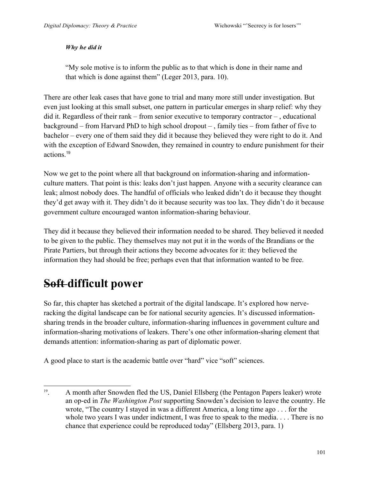### *Why he did it*

"My sole motive is to inform the public as to that which is done in their name and that which is done against them" (Leger 2013, para. 10).

There are other leak cases that have gone to trial and many more still under investigation. But even just looking at this small subset, one pattern in particular emerges in sharp relief: why they did it. Regardless of their rank – from senior executive to temporary contractor – , educational background – from Harvard PhD to high school dropout – , family ties – from father of five to bachelor – every one of them said they did it because they believed they were right to do it. And with the exception of Edward Snowden, they remained in country to endure punishment for their actions.<sup>19</sup>

Now we get to the point where all that background on information-sharing and informationculture matters. That point is this: leaks don't just happen. Anyone with a security clearance can leak; almost nobody does. The handful of officials who leaked didn't do it because they thought they'd get away with it. They didn't do it because security was too lax. They didn't do it because government culture encouraged wanton information-sharing behaviour.

They did it because they believed their information needed to be shared. They believed it needed to be given to the public. They themselves may not put it in the words of the Brandians or the Pirate Partiers, but through their actions they become advocates for it: they believed the information they had should be free; perhaps even that that information wanted to be free.

## **Soft difficult power**

So far, this chapter has sketched a portrait of the digital landscape. It's explored how nerveracking the digital landscape can be for national security agencies. It's discussed informationsharing trends in the broader culture, information-sharing influences in government culture and information-sharing motivations of leakers. There's one other information-sharing element that demands attention: information-sharing as part of diplomatic power.

A good place to start is the academic battle over "hard" vice "soft" sciences.

<sup>&</sup>lt;sup>19</sup>. A month after Snowden fled the US, Daniel Ellsberg (the Pentagon Papers leaker) wrote an op-ed in *The Washington Post* supporting Snowden's decision to leave the country. He wrote, "The country I stayed in was a different America, a long time ago . . . for the whole two years I was under indictment, I was free to speak to the media. . . . There is no chance that experience could be reproduced today" (Ellsberg 2013, para. 1)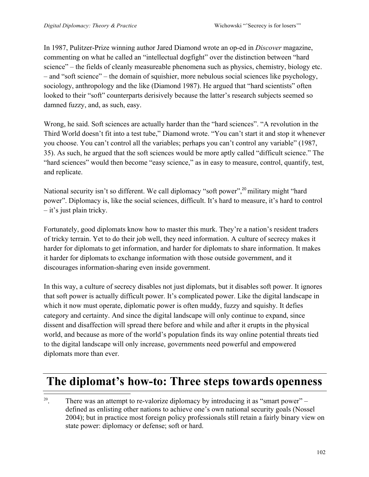In 1987, Pulitzer-Prize winning author Jared Diamond wrote an op-ed in *Discover* magazine, commenting on what he called an "intellectual dogfight" over the distinction between "hard science" – the fields of cleanly measureable phenomena such as physics, chemistry, biology etc. – and "soft science" – the domain of squishier, more nebulous social sciences like psychology, sociology, anthropology and the like (Diamond 1987). He argued that "hard scientists" often looked to their "soft" counterparts derisively because the latter's research subjects seemed so damned fuzzy, and, as such, easy.

Wrong, he said. Soft sciences are actually harder than the "hard sciences". "A revolution in the Third World doesn't fit into a test tube," Diamond wrote. "You can't start it and stop it whenever you choose. You can't control all the variables; perhaps you can't control any variable" (1987, 35). As such, he argued that the soft sciences would be more aptly called "difficult science." The "hard sciences" would then become "easy science," as in easy to measure, control, quantify, test, and replicate.

National security isn't so different. We call diplomacy "soft power",<sup>20</sup> military might "hard power". Diplomacy is, like the social sciences, difficult. It's hard to measure, it's hard to control – it's just plain tricky.

Fortunately, good diplomats know how to master this murk. They're a nation's resident traders of tricky terrain. Yet to do their job well, they need information. A culture of secrecy makes it harder for diplomats to get information, and harder for diplomats to share information. It makes it harder for diplomats to exchange information with those outside government, and it discourages information-sharing even inside government.

In this way, a culture of secrecy disables not just diplomats, but it disables soft power. It ignores that soft power is actually difficult power. It's complicated power. Like the digital landscape in which it now must operate, diplomatic power is often muddy, fuzzy and squishy. It defies category and certainty. And since the digital landscape will only continue to expand, since dissent and disaffection will spread there before and while and after it erupts in the physical world, and because as more of the world's population finds its way online potential threats tied to the digital landscape will only increase, governments need powerful and empowered diplomats more than ever.

### **The diplomat's how-to: Three steps towards openness**

<sup>20</sup>. There was an attempt to re-valorize diplomacy by introducing it as "smart power" – defined as enlisting other nations to achieve one's own national security goals (Nossel 2004); but in practice most foreign policy professionals still retain a fairly binary view on state power: diplomacy or defense; soft or hard.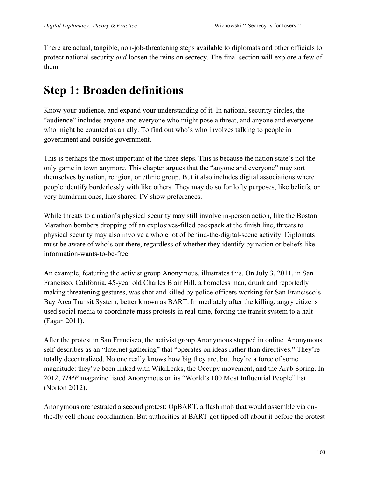There are actual, tangible, non-job-threatening steps available to diplomats and other officials to protect national security *and* loosen the reins on secrecy. The final section will explore a few of them.

## **Step 1: Broaden definitions**

Know your audience, and expand your understanding of it. In national security circles, the "audience" includes anyone and everyone who might pose a threat, and anyone and everyone who might be counted as an ally. To find out who's who involves talking to people in government and outside government.

This is perhaps the most important of the three steps. This is because the nation state's not the only game in town anymore. This chapter argues that the "anyone and everyone" may sort themselves by nation, religion, or ethnic group. But it also includes digital associations where people identify borderlessly with like others. They may do so for lofty purposes, like beliefs, or very humdrum ones, like shared TV show preferences.

While threats to a nation's physical security may still involve in-person action, like the Boston Marathon bombers dropping off an explosives-filled backpack at the finish line, threats to physical security may also involve a whole lot of behind-the-digital-scene activity. Diplomats must be aware of who's out there, regardless of whether they identify by nation or beliefs like information-wants-to-be-free.

An example, featuring the activist group Anonymous, illustrates this. On July 3, 2011, in San Francisco, California, 45-year old Charles Blair Hill, a homeless man, drunk and reportedly making threatening gestures, was shot and killed by police officers working for San Francisco's Bay Area Transit System, better known as BART. Immediately after the killing, angry citizens used social media to coordinate mass protests in real-time, forcing the transit system to a halt (Fagan 2011).

After the protest in San Francisco, the activist group Anonymous stepped in online. Anonymous self-describes as an "Internet gathering" that "operates on ideas rather than directives." They're totally decentralized. No one really knows how big they are, but they're a force of some magnitude: they've been linked with WikiLeaks, the Occupy movement, and the Arab Spring. In 2012, *TIME* magazine listed Anonymous on its "World's 100 Most Influential People" list (Norton 2012).

Anonymous orchestrated a second protest: OpBART, a flash mob that would assemble via onthe-fly cell phone coordination. But authorities at BART got tipped off about it before the protest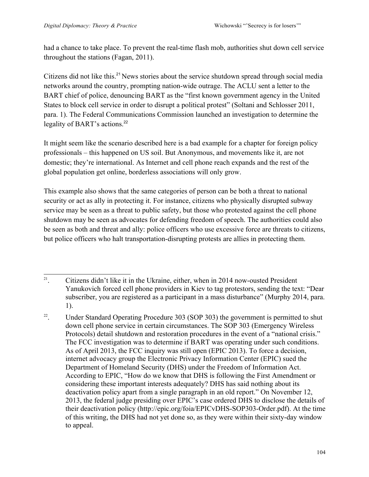had a chance to take place. To prevent the real-time flash mob, authorities shut down cell service throughout the stations (Fagan, 2011).

Citizens did not like this.<sup>21</sup> News stories about the service shutdown spread through social media networks around the country, prompting nation-wide outrage. The ACLU sent a letter to the BART chief of police, denouncing BART as the "first known government agency in the United States to block cell service in order to disrupt a political protest" (Soltani and Schlosser 2011, para. 1). The Federal Communications Commission launched an investigation to determine the legality of BART's actions.<sup>22</sup>

It might seem like the scenario described here is a bad example for a chapter for foreign policy professionals – this happened on US soil. But Anonymous, and movements like it, are not domestic; they're international. As Internet and cell phone reach expands and the rest of the global population get online, borderless associations will only grow.

This example also shows that the same categories of person can be both a threat to national security or act as ally in protecting it. For instance, citizens who physically disrupted subway service may be seen as a threat to public safety, but those who protested against the cell phone shutdown may be seen as advocates for defending freedom of speech. The authorities could also be seen as both and threat and ally: police officers who use excessive force are threats to citizens, but police officers who halt transportation-disrupting protests are allies in protecting them.

<sup>&</sup>lt;sup>21</sup>. Citizens didn't like it in the Ukraine, either, when in 2014 now-ousted President Yanukovich forced cell phone providers in Kiev to tag protestors, sending the text: "Dear subscriber, you are registered as a participant in a mass disturbance" (Murphy 2014, para. 1).

<sup>&</sup>lt;sup>22</sup>. Under Standard Operating Procedure 303 (SOP 303) the government is permitted to shut down cell phone service in certain circumstances. The SOP 303 (Emergency Wireless Protocols) detail shutdown and restoration procedures in the event of a "national crisis." The FCC investigation was to determine if BART was operating under such conditions. As of April 2013, the FCC inquiry was still open (EPIC 2013). To force a decision, internet advocacy group the Electronic Privacy Information Center (EPIC) sued the Department of Homeland Security (DHS) under the Freedom of Information Act. According to EPIC, "How do we know that DHS is following the First Amendment or considering these important interests adequately? DHS has said nothing about its deactivation policy apart from a single paragraph in an old report." On November 12, 2013, the federal judge presiding over EPIC's case ordered DHS to disclose the details of their deactivation policy (http://epic.org/foia/EPICvDHS-SOP303-Order.pdf). At the time of this writing, the DHS had not yet done so, as they were within their sixty-day window to appeal.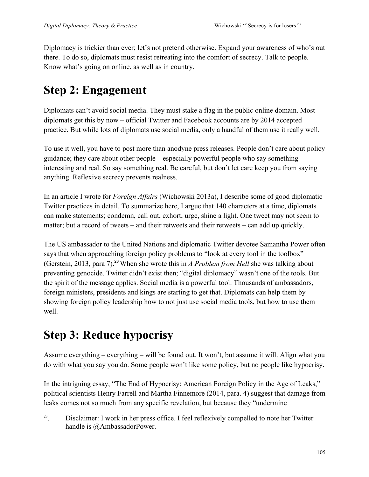Diplomacy is trickier than ever; let's not pretend otherwise. Expand your awareness of who's out there. To do so, diplomats must resist retreating into the comfort of secrecy. Talk to people. Know what's going on online, as well as in country.

# **Step 2: Engagement**

Diplomats can't avoid social media. They must stake a flag in the public online domain. Most diplomats get this by now – official Twitter and Facebook accounts are by 2014 accepted practice. But while lots of diplomats use social media, only a handful of them use it really well.

To use it well, you have to post more than anodyne press releases. People don't care about policy guidance; they care about other people – especially powerful people who say something interesting and real. So say something real. Be careful, but don't let care keep you from saying anything. Reflexive secrecy prevents realness.

In an article I wrote for *Foreign Affairs* (Wichowski 2013a), I describe some of good diplomatic Twitter practices in detail. To summarize here, I argue that 140 characters at a time, diplomats can make statements; condemn, call out, exhort, urge, shine a light. One tweet may not seem to matter; but a record of tweets – and their retweets and their retweets – can add up quickly.

The US ambassador to the United Nations and diplomatic Twitter devotee Samantha Power often says that when approaching foreign policy problems to "look at every tool in the toolbox" (Gerstein, 2013, para 7).<sup>23</sup>When she wrote this in *A Problem from Hell* she was talking about preventing genocide. Twitter didn't exist then; "digital diplomacy" wasn't one of the tools. But the spirit of the message applies. Social media is a powerful tool. Thousands of ambassadors, foreign ministers, presidents and kings are starting to get that. Diplomats can help them by showing foreign policy leadership how to not just use social media tools, but how to use them well.

# **Step 3: Reduce hypocrisy**

Assume everything – everything – will be found out. It won't, but assume it will. Align what you do with what you say you do. Some people won't like some policy, but no people like hypocrisy.

In the intriguing essay, "The End of Hypocrisy: American Foreign Policy in the Age of Leaks," political scientists Henry Farrell and Martha Finnemore (2014, para. 4) suggest that damage from leaks comes not so much from any specific revelation, but because they "undermine

<sup>&</sup>lt;sup>23</sup>. Disclaimer: I work in her press office. I feel reflexively compelled to note her Twitter handle is @AmbassadorPower.